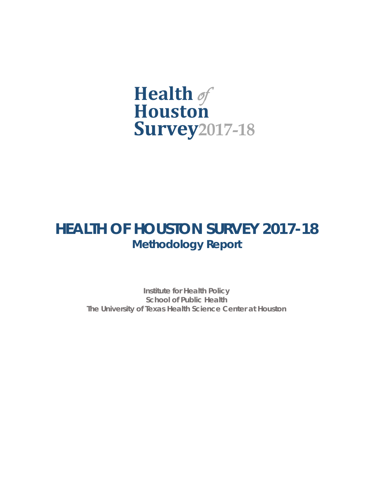

# **HEALTH OF HOUSTON SURVEY 2017-18 Methodology Report**

**Institute for Health Policy School of Public Health The University of Texas Health Science Center at Houston**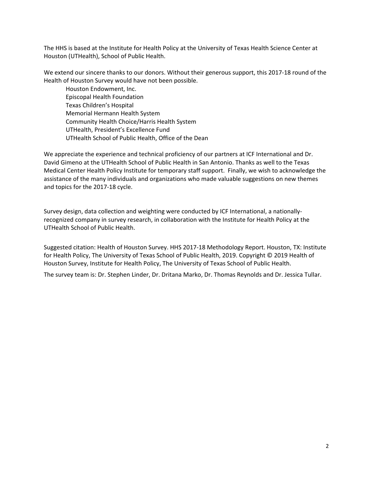The HHS is based at the Institute for Health Policy at the University of Texas Health Science Center at Houston (UTHealth), School of Public Health.

We extend our sincere thanks to our donors. Without their generous support, this 2017-18 round of the Health of Houston Survey would have not been possible.

Houston Endowment, Inc. Episcopal Health Foundation Texas Children's Hospital Memorial Hermann Health System Community Health Choice/Harris Health System UTHealth, President's Excellence Fund UTHealth School of Public Health, Office of the Dean

We appreciate the experience and technical proficiency of our partners at ICF International and Dr. David Gimeno at the UTHealth School of Public Health in San Antonio. Thanks as well to the Texas Medical Center Health Policy Institute for temporary staff support. Finally, we wish to acknowledge the assistance of the many individuals and organizations who made valuable suggestions on new themes and topics for the 2017-18 cycle.

Survey design, data collection and weighting were conducted by ICF International, a nationallyrecognized company in survey research, in collaboration with the Institute for Health Policy at the UTHealth School of Public Health.

Suggested citation: Health of Houston Survey. HHS 2017-18 Methodology Report. Houston, TX: Institute for Health Policy, The University of Texas School of Public Health, 2019. Copyright © 2019 Health of Houston Survey, Institute for Health Policy, The University of Texas School of Public Health.

The survey team is: Dr. Stephen Linder, Dr. Dritana Marko, Dr. Thomas Reynolds and Dr. Jessica Tullar.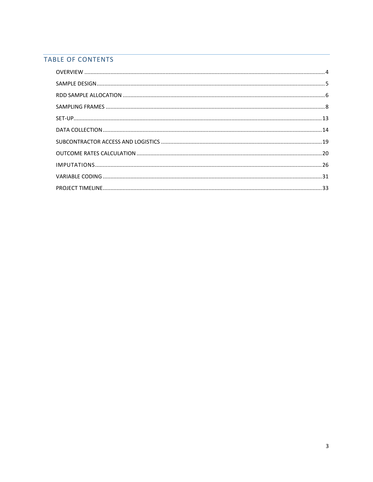# TABLE OF CONTENTS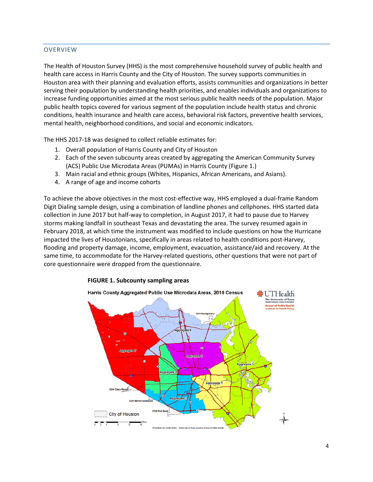# <span id="page-3-0"></span>**OVERVIEW**

The Health of Houston Survey (HHS) is the most comprehensive household survey of public health and health care access in Harris County and the City of Houston. The survey supports communities in Houston area with their planning and evaluation efforts, assists communities and organizations in better serving their population by understanding health priorities, and enables individuals and organizations to increase funding opportunities aimed at the most serious public health needs of the population. Major public health topics covered for various segment of the population include health status and chronic conditions, health insurance and health care access, behavioral risk factors, preventive health services, mental health, neighborhood conditions, and social and economic indicators.

The HHS 2017-18 was designed to collect reliable estimates for:

- 1. Overall population of Harris County and City of Houston
- 2. Each of the seven subcounty areas created by aggregating the American Community Survey (ACS) Public Use Microdata Areas (PUMAs) in Harris County (Figure 1.)
- 3. Main racial and ethnic groups (Whites, Hispanics, African Americans, and Asians).
- 4. A range of age and income cohorts

To achieve the above objectives in the most cost-effective way, HHS employed a dual-frame Random Digit Dialing sample design, using a combination of landline phones and cellphones. HHS started data collection in June 2017 but half-way to completion, in August 2017, it had to pause due to Harvey storms making landfall in southeast Texas and devastating the area. The survey resumed again in February 2018, at which time the instrument was modified to include questions on how the Hurricane impacted the lives of Houstonians, specifically in areas related to health conditions post-Harvey, flooding and property damage, income, employment, evacuation, assistance/aid and recovery. At the same time, to accommodate for the Harvey-related questions, other questions that were not part of core questionnaire were dropped from the questionnaire.



# **FIGURE 1. Subcounty sampling areas**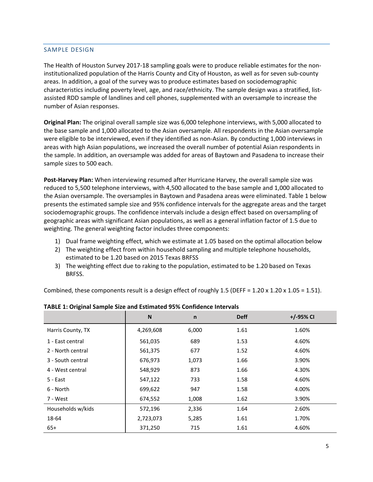#### <span id="page-4-0"></span>SAMPLE DESIGN

The Health of Houston Survey 2017-18 sampling goals were to produce reliable estimates for the noninstitutionalized population of the Harris County and City of Houston, as well as for seven sub-county areas. In addition, a goal of the survey was to produce estimates based on sociodemographic characteristics including poverty level, age, and race/ethnicity. The sample design was a stratified, listassisted RDD sample of landlines and cell phones, supplemented with an oversample to increase the number of Asian responses.

**Original Plan:** The original overall sample size was 6,000 telephone interviews, with 5,000 allocated to the base sample and 1,000 allocated to the Asian oversample. All respondents in the Asian oversample were eligible to be interviewed, even if they identified as non-Asian. By conducting 1,000 interviews in areas with high Asian populations, we increased the overall number of potential Asian respondents in the sample. In addition, an oversample was added for areas of Baytown and Pasadena to increase their sample sizes to 500 each.

**Post-Harvey Plan:** When interviewing resumed after Hurricane Harvey, the overall sample size was reduced to 5,500 telephone interviews, with 4,500 allocated to the base sample and 1,000 allocated to the Asian oversample. The oversamples in Baytown and Pasadena areas were eliminated. Table 1 below presents the estimated sample size and 95% confidence intervals for the aggregate areas and the target sociodemographic groups. The confidence intervals include a design effect based on oversampling of geographic areas with significant Asian populations, as well as a general inflation factor of 1.5 due to weighting. The general weighting factor includes three components:

- 1) Dual frame weighting effect, which we estimate at 1.05 based on the optimal allocation below
- 2) The weighting effect from within household sampling and multiple telephone households, estimated to be 1.20 based on 2015 Texas BRFSS
- 3) The weighting effect due to raking to the population, estimated to be 1.20 based on Texas BRFSS.

Combined, these components result is a design effect of roughly 1.5 (DEFF =  $1.20 \times 1.20 \times 1.05 = 1.51$ ).

|                   | N         | $\mathsf{n}$ | <b>Deff</b> | $+/-95%$ CI |
|-------------------|-----------|--------------|-------------|-------------|
| Harris County, TX | 4,269,608 | 6,000        | 1.61        | 1.60%       |
| 1 - East central  | 561,035   | 689          | 1.53        | 4.60%       |
| 2 - North central | 561,375   | 677          | 1.52        | 4.60%       |
| 3 - South central | 676,973   | 1,073        | 1.66        | 3.90%       |
| 4 - West central  | 548,929   | 873          | 1.66        | 4.30%       |
| 5 - East          | 547,122   | 733          | 1.58        | 4.60%       |
| 6 - North         | 699,622   | 947          | 1.58        | 4.00%       |
| 7 - West          | 674,552   | 1,008        | 1.62        | 3.90%       |
| Households w/kids | 572,196   | 2,336        | 1.64        | 2.60%       |
| 18-64             | 2,723,073 | 5,285        | 1.61        | 1.70%       |
| $65+$             | 371,250   | 715          | 1.61        | 4.60%       |

#### **TABLE 1: Original Sample Size and Estimated 95% Confidence Intervals**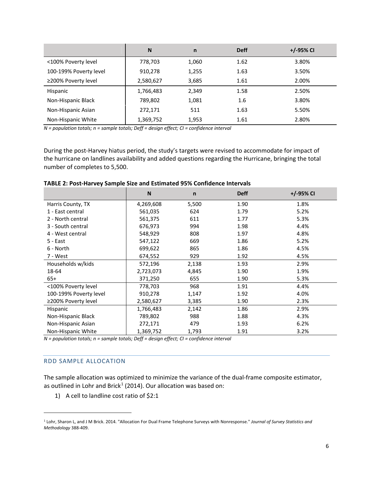|                        | N         | n     | <b>Deff</b> | $+/-95\%$ CI |
|------------------------|-----------|-------|-------------|--------------|
| <100% Poverty level    | 778,703   | 1,060 | 1.62        | 3.80%        |
| 100-199% Poverty level | 910,278   | 1,255 | 1.63        | 3.50%        |
| ≥200% Poverty level    | 2,580,627 | 3,685 | 1.61        | 2.00%        |
| <b>Hispanic</b>        | 1,766,483 | 2,349 | 1.58        | 2.50%        |
| Non-Hispanic Black     | 789,802   | 1,081 | 1.6         | 3.80%        |
| Non-Hispanic Asian     | 272,171   | 511   | 1.63        | 5.50%        |
| Non-Hispanic White     | 1,369,752 | 1,953 | 1.61        | 2.80%        |

*N = population totals; n = sample totals; Deff = design effect; CI = confidence interval*

During the post-Harvey hiatus period, the study's targets were revised to accommodate for impact of the hurricane on landlines availability and added questions regarding the Hurricane, bringing the total number of completes to 5,500.

|                        | N         | $\mathsf{n}$ | <b>Deff</b> | +/-95% CI |
|------------------------|-----------|--------------|-------------|-----------|
| Harris County, TX      | 4,269,608 | 5,500        | 1.90        | 1.8%      |
| 1 - East central       | 561,035   | 624          | 1.79        | 5.2%      |
| 2 - North central      | 561,375   | 611          | 1.77        | 5.3%      |
| 3 - South central      | 676,973   | 994          | 1.98        | 4.4%      |
| 4 - West central       | 548,929   | 808          | 1.97        | 4.8%      |
| 5 - East               | 547,122   | 669          | 1.86        | 5.2%      |
| 6 - North              | 699,622   | 865          | 1.86        | 4.5%      |
| 7 - West               | 674,552   | 929          | 1.92        | 4.5%      |
| Households w/kids      | 572,196   | 2,138        | 1.93        | 2.9%      |
| 18-64                  | 2,723,073 | 4,845        | 1.90        | 1.9%      |
| $65+$                  | 371,250   | 655          | 1.90        | 5.3%      |
| <100% Poverty level    | 778,703   | 968          | 1.91        | 4.4%      |
| 100-199% Poverty level | 910,278   | 1,147        | 1.92        | 4.0%      |
| ≥200% Poverty level    | 2,580,627 | 3,385        | 1.90        | 2.3%      |
| Hispanic               | 1,766,483 | 2,142        | 1.86        | 2.9%      |
| Non-Hispanic Black     | 789,802   | 988          | 1.88        | 4.3%      |
| Non-Hispanic Asian     | 272,171   | 479          | 1.93        | 6.2%      |
| Non-Hispanic White     | 1,369,752 | 1,793        | 1.91        | 3.2%      |

|  |  |  | TABLE 2: Post-Harvey Sample Size and Estimated 95% Confidence Intervals |
|--|--|--|-------------------------------------------------------------------------|
|--|--|--|-------------------------------------------------------------------------|

*N = population totals; n = sample totals; Deff = design effect; CI = confidence interval*

#### <span id="page-5-0"></span>RDD SAMPLE ALLOCATION

 $\overline{a}$ 

The sample allocation was optimized to minimize the variance of the dual-frame composite estimator, as outlined in Lohr and Brick<sup>[1](#page-5-1)</sup> (2014). Our allocation was based on:

1) A cell to landline cost ratio of \$2:1

<span id="page-5-1"></span><sup>1</sup> Lohr, Sharon L, and J M Brick. 2014. "Allocation For Dual Frame Telephone Surveys with Nonresponse." *Journal of Survey Statistics and Methodology* 388-409.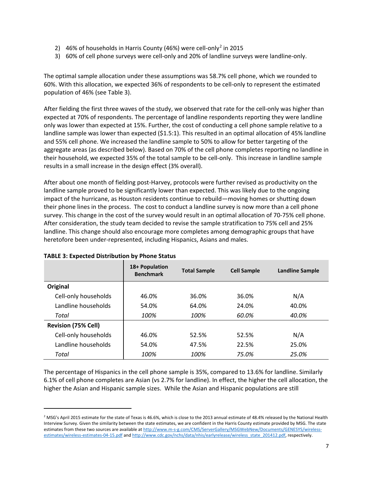- [2](#page-6-0)) 46% of households in Harris County (46%) were cell-only<sup>2</sup> in 2015
- 3) 60% of cell phone surveys were cell-only and 20% of landline surveys were landline-only.

The optimal sample allocation under these assumptions was 58.7% cell phone, which we rounded to 60%. With this allocation, we expected 36% of respondents to be cell-only to represent the estimated population of 46% (see Table 3).

After fielding the first three waves of the study, we observed that rate for the cell-only was higher than expected at 70% of respondents. The percentage of landline respondents reporting they were landline only was lower than expected at 15%. Further, the cost of conducting a cell phone sample relative to a landline sample was lower than expected (\$1.5:1). This resulted in an optimal allocation of 45% landline and 55% cell phone. We increased the landline sample to 50% to allow for better targeting of the aggregate areas (as described below). Based on 70% of the cell phone completes reporting no landline in their household, we expected 35% of the total sample to be cell-only. This increase in landline sample results in a small increase in the design effect (3% overall).

After about one month of fielding post-Harvey, protocols were further revised as productivity on the landline sample proved to be significantly lower than expected. This was likely due to the ongoing impact of the hurricane, as Houston residents continue to rebuild—moving homes or shutting down their phone lines in the process. The cost to conduct a landline survey is now more than a cell phone survey. This change in the cost of the survey would result in an optimal allocation of 70-75% cell phone. After consideration, the study team decided to revise the sample stratification to 75% cell and 25% landline. This change should also encourage more completes among demographic groups that have heretofore been under-represented, including Hispanics, Asians and males.

|                            | 18+ Population<br><b>Benchmark</b> | <b>Total Sample</b> | <b>Cell Sample</b> | <b>Landline Sample</b> |
|----------------------------|------------------------------------|---------------------|--------------------|------------------------|
| Original                   |                                    |                     |                    |                        |
| Cell-only households       | 46.0%                              | 36.0%               | 36.0%              | N/A                    |
| Landline households        | 54.0%                              | 64.0%               | 24.0%              | 40.0%                  |
| Total                      | 100%                               | 100%                | 60.0%              | 40.0%                  |
| <b>Revision (75% Cell)</b> |                                    |                     |                    |                        |
| Cell-only households       | 46.0%                              | 52.5%               | 52.5%              | N/A                    |
| Landline households        | 54.0%                              | 47.5%               | 22.5%              | 25.0%                  |
| Total                      | 100%                               | 100%                | 75.0%              | 25.0%                  |

# **TABLE 3: Expected Distribution by Phone Status**

 $\overline{a}$ 

The percentage of Hispanics in the cell phone sample is 35%, compared to 13.6% for landline. Similarly 6.1% of cell phone completes are Asian (vs 2.7% for landline). In effect, the higher the cell allocation, the higher the Asian and Hispanic sample sizes. While the Asian and Hispanic populations are still

<span id="page-6-0"></span><sup>&</sup>lt;sup>2</sup> MSG's April 2015 estimate for the state of Texas is 46.6%, which is close to the 2013 annual estimate of 48.4% released by the National Health Interview Survey. Given the similarity between the state estimates, we are confident in the Harris County estimate provided by MSG. The state estimates from these two sources are available a[t http://www.m-s-g.com/CMS/ServerGallery/MSGWebNew/Documents/GENESYS/wireless](http://www.m-s-g.com/CMS/ServerGallery/MSGWebNew/Documents/GENESYS/wireless-estimates/wireless-estimates-04-15.pdf)[estimates/wireless-estimates-04-15.pdf](http://www.m-s-g.com/CMS/ServerGallery/MSGWebNew/Documents/GENESYS/wireless-estimates/wireless-estimates-04-15.pdf) an[d http://www.cdc.gov/nchs/data/nhis/earlyrelease/wireless\\_state\\_201412.pdf,](http://www.cdc.gov/nchs/data/nhis/earlyrelease/wireless_state_201412.pdf) respectively.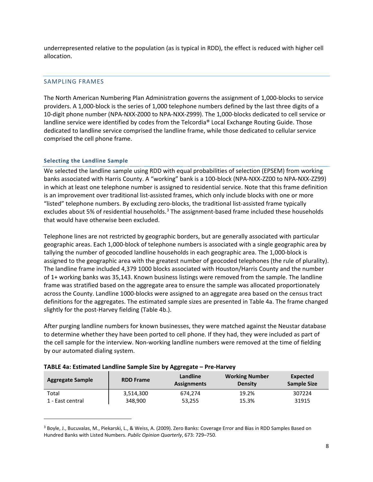underrepresented relative to the population (as is typical in RDD), the effect is reduced with higher cell allocation.

# <span id="page-7-0"></span>SAMPLING FRAMES

The North American Numbering Plan Administration governs the assignment of 1,000-blocks to service providers. A 1,000-block is the series of 1,000 telephone numbers defined by the last three digits of a 10-digit phone number (NPA-NXX-Z000 to NPA-NXX-Z999). The 1,000-blocks dedicated to cell service or landline service were identified by codes from the Telcordia® Local Exchange Routing Guide. Those dedicated to landline service comprised the landline frame, while those dedicated to cellular service comprised the cell phone frame.

# **Selecting the Landline Sample**

 $\overline{a}$ 

We selected the landline sample using RDD with equal probabilities of selection (EPSEM) from working banks associated with Harris County. A "working" bank is a 100-block (NPA-NXX-ZZ00 to NPA-NXX-ZZ99) in which at least one telephone number is assigned to residential service. Note that this frame definition is an improvement over traditional list-assisted frames, which only include blocks with one or more "listed" telephone numbers. By excluding zero-blocks, the traditional list-assisted frame typically excludes about 5% of residential households.<sup>[3](#page-7-1)</sup> The assignment-based frame included these households that would have otherwise been excluded.

Telephone lines are not restricted by geographic borders, but are generally associated with particular geographic areas. Each 1,000-block of telephone numbers is associated with a single geographic area by tallying the number of geocoded landline households in each geographic area. The 1,000-block is assigned to the geographic area with the greatest number of geocoded telephones (the rule of plurality). The landline frame included 4,379 1000 blocks associated with Houston/Harris County and the number of 1+ working banks was 35,143. Known business listings were removed from the sample. The landline frame was stratified based on the aggregate area to ensure the sample was allocated proportionately across the County. Landline 1000-blocks were assigned to an aggregate area based on the census tract definitions for the aggregates. The estimated sample sizes are presented in Table 4a. The frame changed slightly for the post-Harvey fielding (Table 4b.).

After purging landline numbers for known businesses, they were matched against the Neustar database to determine whether they have been ported to cell phone. If they had, they were included as part of the cell sample for the interview. Non-working landline numbers were removed at the time of fielding by our automated dialing system.

| <b>Aggregate Sample</b> | <b>RDD Frame</b> | Landline<br><b>Assignments</b> | <b>Working Number</b><br><b>Density</b> | Expected<br><b>Sample Size</b> |
|-------------------------|------------------|--------------------------------|-----------------------------------------|--------------------------------|
| Total                   | 3,514,300        | 674.274                        | 19.2%                                   | 307224                         |
| 1 - East central        | 348,900          | 53,255                         | 15.3%                                   | 31915                          |

# **TABLE 4a: Estimated Landline Sample Size by Aggregate – Pre-Harvey**

<span id="page-7-1"></span><sup>3</sup> Boyle, J., Bucuvalas, M., Piekarski, L., & Weiss, A. (2009). Zero Banks: Coverage Error and Bias in RDD Samples Based on Hundred Banks with Listed Numbers. *Public Opinion Quarterly*, 673: 729–750.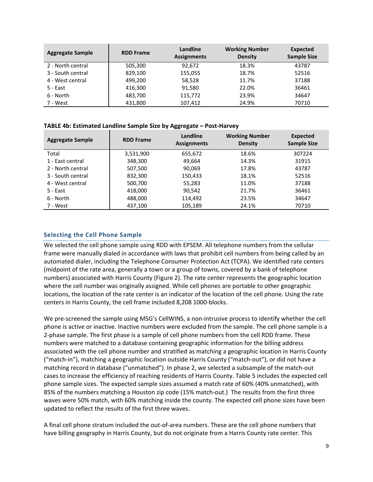| <b>Aggregate Sample</b> | <b>RDD Frame</b> | Landline<br><b>Assignments</b> | <b>Working Number</b><br><b>Density</b> | <b>Expected</b><br><b>Sample Size</b> |
|-------------------------|------------------|--------------------------------|-----------------------------------------|---------------------------------------|
| 2 - North central       | 505.300          | 92,672                         | 18.3%                                   | 43787                                 |
| 3 - South central       | 829,100          | 155,055                        | 18.7%                                   | 52516                                 |
| 4 - West central        | 499.200          | 58,528                         | 11.7%                                   | 37188                                 |
| 5 - East                | 416,300          | 91,580                         | 22.0%                                   | 36461                                 |
| 6 - North               | 483,700          | 115,772                        | 23.9%                                   | 34647                                 |
| 7 - West                | 431,800          | 107,412                        | 24.9%                                   | 70710                                 |

#### **TABLE 4b: Estimated Landline Sample Size by Aggregate – Post-Harvey**

| <b>Aggregate Sample</b> | <b>RDD Frame</b> | Landline<br><b>Assignments</b> | <b>Working Number</b><br><b>Density</b> | <b>Expected</b><br><b>Sample Size</b> |
|-------------------------|------------------|--------------------------------|-----------------------------------------|---------------------------------------|
| Total                   | 3,531,900        | 655,672                        | 18.6%                                   | 307224                                |
| 1 - East central        | 348,300          | 49,664                         | 14.3%                                   | 31915                                 |
| 2 - North central       | 507,500          | 90,069                         | 17.8%                                   | 43787                                 |
| 3 - South central       | 832,300          | 150,433                        | 18.1%                                   | 52516                                 |
| 4 - West central        | 500,700          | 55,283                         | 11.0%                                   | 37188                                 |
| 5 - East                | 418,000          | 90,542                         | 21.7%                                   | 36461                                 |
| 6 - North               | 488,000          | 114,492                        | 23.5%                                   | 34647                                 |
| 7 - West                | 437,100          | 105,189                        | 24.1%                                   | 70710                                 |

# **Selecting the Cell Phone Sample**

We selected the cell phone sample using RDD with EPSEM. All telephone numbers from the cellular frame were manually dialed in accordance with laws that prohibit cell numbers from being called by an automated dialer, including the Telephone Consumer Protection Act (TCPA). We identified rate centers (midpoint of the rate area, generally a town or a group of towns, covered by a bank of telephone numbers) associated with Harris County (Figure 2). The rate center represents the geographic location where the cell number was originally assigned. While cell phones are portable to other geographic locations, the location of the rate center is an indicator of the location of the cell phone. Using the rate centers in Harris County, the cell frame included 8,208 1000-blocks.

We pre-screened the sample using MSG's CellWINS, a non-intrusive process to identify whether the cell phone is active or inactive. Inactive numbers were excluded from the sample. The cell phone sample is a 2-phase sample. The first phase is a sample of cell phone numbers from the cell RDD frame. These numbers were matched to a database containing geographic information for the billing address associated with the cell phone number and stratified as matching a geographic location in Harris County ("match-in"), matching a geographic location outside Harris County ("match-out"), or did not have a matching record in database ("unmatched"). In phase 2, we selected a subsample of the match-out cases to increase the efficiency of reaching residents of Harris County. Table 5 includes the expected cell phone sample sizes. The expected sample sizes assumed a match rate of 60% (40% unmatched), with 85% of the numbers matching a Houston zip code (15% match-out.) The results from the first three waves were 50% match, with 60% matching inside the county. The expected cell phone sizes have been updated to reflect the results of the first three waves.

A final cell phone stratum included the out-of-area numbers. These are the cell phone numbers that have billing geography in Harris County, but do not originate from a Harris County rate center. This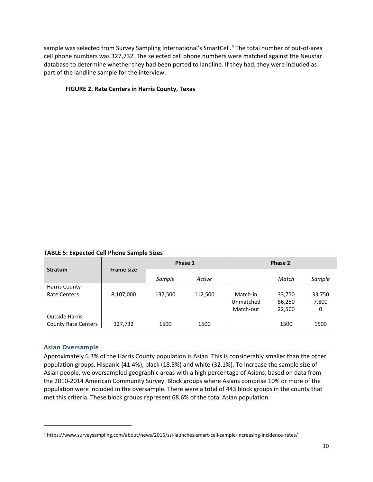sample was selected from Survey Sampling International's SmartCell.<sup>[4](#page-9-0)</sup> The total number of out-of-area cell phone numbers was 327,732. The selected cell phone numbers were matched against the Neustar database to determine whether they had been ported to landline. If they had, they were included as part of the landline sample for the interview.

# **FIGURE 2. Rate Centers in Harris County, Texas**

**TABLE 5: Expected Cell Phone Sample Sizes**

|                            |                   | Phase 1 |         | Phase 2   |        |        |
|----------------------------|-------------------|---------|---------|-----------|--------|--------|
| <b>Stratum</b>             | <b>Frame size</b> | Sample  | Active  |           | Match  | Sample |
| <b>Harris County</b>       |                   |         |         |           |        |        |
| <b>Rate Centers</b>        | 8,107,000         | 137,500 | 112,500 | Match-in  | 33,750 | 33,750 |
|                            |                   |         |         | Unmatched | 56,250 | 7,800  |
|                            |                   |         |         | Match-out | 22,500 | 0      |
| <b>Outside Harris</b>      |                   |         |         |           |        |        |
| <b>County Rate Centers</b> | 327,732           | 1500    | 1500    |           | 1500   | 1500   |

# **Asian Oversample**

 $\overline{a}$ 

Approximately 6.3% of the Harris County population is Asian. This is considerably smaller than the other population groups, Hispanic (41.4%), black (18.5%) and white (32.1%). To increase the sample size of Asian people, we oversampled geographic areas with a high percentage of Asians, based on data from the 2010-2014 American Community Survey. Block groups where Asians comprise 10% or more of the population were included in the oversample. There were a total of 443 block groups in the county that met this criteria. These block groups represent 68.6% of the total Asian population.

<span id="page-9-0"></span><sup>4</sup> https://www.surveysampling.com/about/news/2016/ssi-launches-smart-cell-sample-increasing-incidence-rates/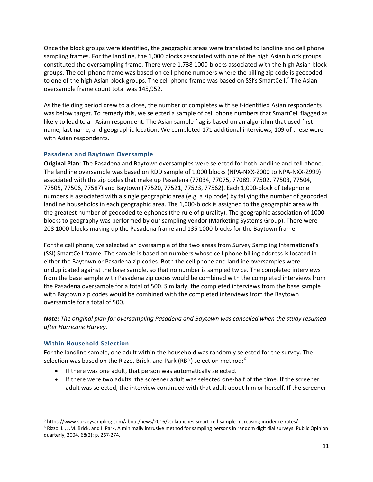Once the block groups were identified, the geographic areas were translated to landline and cell phone sampling frames. For the landline, the 1,000 blocks associated with one of the high Asian block groups constituted the oversampling frame. There were 1,738 1000-blocks associated with the high Asian block groups. The cell phone frame was based on cell phone numbers where the billing zip code is geocoded to one of the high Asian block groups. The cell phone frame was based on SSI's SmartCell.<sup>[5](#page-10-0)</sup> The Asian oversample frame count total was 145,952.

As the fielding period drew to a close, the number of completes with self-identified Asian respondents was below target. To remedy this, we selected a sample of cell phone numbers that SmartCell flagged as likely to lead to an Asian respondent. The Asian sample flag is based on an algorithm that used first name, last name, and geographic location. We completed 171 additional interviews, 109 of these were with Asian respondents.

# **Pasadena and Baytown Oversample**

**Original Plan**: The Pasadena and Baytown oversamples were selected for both landline and cell phone. The landline oversample was based on RDD sample of 1,000 blocks (NPA-NXX-Z000 to NPA-NXX-Z999) associated with the zip codes that make up Pasadena (77034, 77075, 77089, 77502, 77503, 77504, 77505, 77506, 77587) and Baytown (77520, 77521, 77523, 77562). Each 1,000-block of telephone numbers is associated with a single geographic area (e.g. a zip code) by tallying the number of geocoded landline households in each geographic area. The 1,000-block is assigned to the geographic area with the greatest number of geocoded telephones (the rule of plurality). The geographic association of 1000 blocks to geography was performed by our sampling vendor (Marketing Systems Group). There were 208 1000-blocks making up the Pasadena frame and 135 1000-blocks for the Baytown frame.

For the cell phone, we selected an oversample of the two areas from Survey Sampling International's (SSI) SmartCell frame. The sample is based on numbers whose cell phone billing address is located in either the Baytown or Pasadena zip codes. Both the cell phone and landline oversamples were unduplicated against the base sample, so that no number is sampled twice. The completed interviews from the base sample with Pasadena zip codes would be combined with the completed interviews from the Pasadena oversample for a total of 500. Similarly, the completed interviews from the base sample with Baytown zip codes would be combined with the completed interviews from the Baytown oversample for a total of 500.

*Note: The original plan for oversampling Pasadena and Baytown was cancelled when the study resumed after Hurricane Harvey.*

# **Within Household Selection**

For the landline sample, one adult within the household was randomly selected for the survey. The selection was based on the Rizzo, Brick, and Park (RBP) selection method:<sup>[6](#page-10-1)</sup>

- If there was one adult, that person was automatically selected.
- If there were two adults, the screener adult was selected one-half of the time. If the screener adult was selected, the interview continued with that adult about him or herself. If the screener

<span id="page-10-0"></span> <sup>5</sup> https://www.surveysampling.com/about/news/2016/ssi-launches-smart-cell-sample-increasing-incidence-rates/

<span id="page-10-1"></span><sup>&</sup>lt;sup>6</sup> Rizzo, L., J.M. Brick, and I. Park, A minimally intrusive method for sampling persons in random digit dial surveys. Public Opinion quarterly, 2004. 68(2): p. 267-274.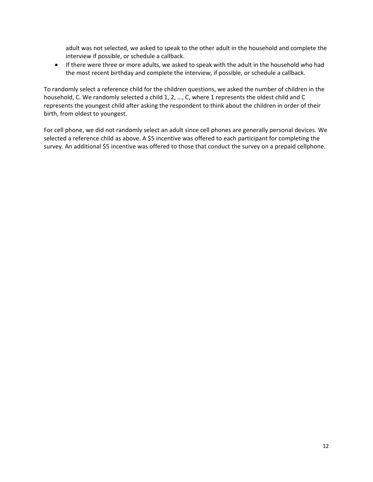adult was not selected, we asked to speak to the other adult in the household and complete the interview if possible, or schedule a callback.

• If there were three or more adults, we asked to speak with the adult in the household who had the most recent birthday and complete the interview, if possible, or schedule a callback.

To randomly select a reference child for the children questions, we asked the number of children in the household, C. We randomly selected a child 1, 2, …, C, where 1 represents the oldest child and C represents the youngest child after asking the respondent to think about the children in order of their birth, from oldest to youngest.

For cell phone, we did not randomly select an adult since cell phones are generally personal devices. We selected a reference child as above. A \$5 incentive was offered to each participant for completing the survey. An additional \$5 incentive was offered to those that conduct the survey on a prepaid cellphone.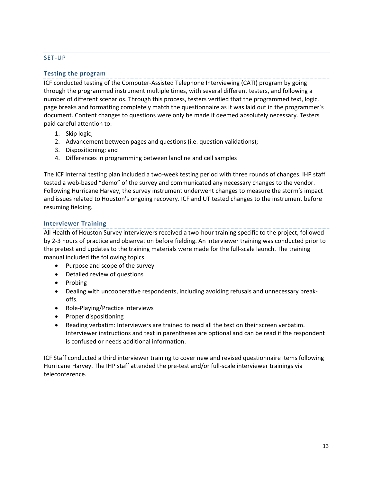# <span id="page-12-0"></span>SET-UP

# **Testing the program**

ICF conducted testing of the Computer-Assisted Telephone Interviewing (CATI) program by going through the programmed instrument multiple times, with several different testers, and following a number of different scenarios. Through this process, testers verified that the programmed text, logic, page breaks and formatting completely match the questionnaire as it was laid out in the programmer's document. Content changes to questions were only be made if deemed absolutely necessary. Testers paid careful attention to:

- 1. Skip logic;
- 2. Advancement between pages and questions (i.e. question validations);
- 3. Dispositioning; and
- 4. Differences in programming between landline and cell samples

The ICF Internal testing plan included a two-week testing period with three rounds of changes. IHP staff tested a web-based "demo" of the survey and communicated any necessary changes to the vendor. Following Hurricane Harvey, the survey instrument underwent changes to measure the storm's impact and issues related to Houston's ongoing recovery. ICF and UT tested changes to the instrument before resuming fielding.

# **Interviewer Training**

All Health of Houston Survey interviewers received a two-hour training specific to the project, followed by 2-3 hours of practice and observation before fielding. An interviewer training was conducted prior to the pretest and updates to the training materials were made for the full-scale launch. The training manual included the following topics.

- Purpose and scope of the survey
- Detailed review of questions
- Probing
- Dealing with uncooperative respondents, including avoiding refusals and unnecessary breakoffs.
- Role-Playing/Practice Interviews
- Proper dispositioning
- Reading verbatim: Interviewers are trained to read all the text on their screen verbatim. Interviewer instructions and text in parentheses are optional and can be read if the respondent is confused or needs additional information.

ICF Staff conducted a third interviewer training to cover new and revised questionnaire items following Hurricane Harvey. The IHP staff attended the pre-test and/or full-scale interviewer trainings via teleconference.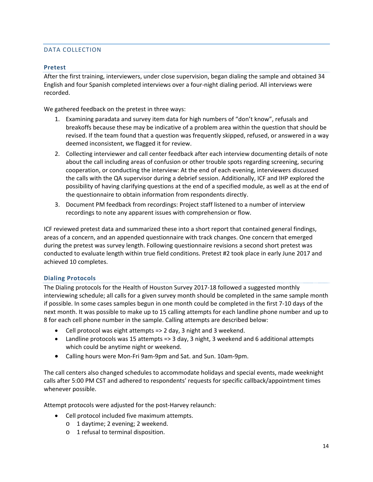# <span id="page-13-0"></span>DATA COLLECTION

# **Pretest**

After the first training, interviewers, under close supervision, began dialing the sample and obtained 34 English and four Spanish completed interviews over a four-night dialing period. All interviews were recorded.

We gathered feedback on the pretest in three ways:

- 1. Examining paradata and survey item data for high numbers of "don't know", refusals and breakoffs because these may be indicative of a problem area within the question that should be revised. If the team found that a question was frequently skipped, refused, or answered in a way deemed inconsistent, we flagged it for review.
- 2. Collecting interviewer and call center feedback after each interview documenting details of note about the call including areas of confusion or other trouble spots regarding screening, securing cooperation, or conducting the interview: At the end of each evening, interviewers discussed the calls with the QA supervisor during a debrief session. Additionally, ICF and IHP explored the possibility of having clarifying questions at the end of a specified module, as well as at the end of the questionnaire to obtain information from respondents directly.
- 3. Document PM feedback from recordings: Project staff listened to a number of interview recordings to note any apparent issues with comprehension or flow.

ICF reviewed pretest data and summarized these into a short report that contained general findings, areas of a concern, and an appended questionnaire with track changes. One concern that emerged during the pretest was survey length. Following questionnaire revisions a second short pretest was conducted to evaluate length within true field conditions. Pretest #2 took place in early June 2017 and achieved 10 completes.

# **Dialing Protocols**

The Dialing protocols for the Health of Houston Survey 2017-18 followed a suggested monthly interviewing schedule; all calls for a given survey month should be completed in the same sample month if possible. In some cases samples begun in one month could be completed in the first 7-10 days of the next month. It was possible to make up to 15 calling attempts for each landline phone number and up to 8 for each cell phone number in the sample. Calling attempts are described below:

- Cell protocol was eight attempts => 2 day, 3 night and 3 weekend.
- Landline protocols was 15 attempts => 3 day, 3 night, 3 weekend and 6 additional attempts which could be anytime night or weekend.
- Calling hours were Mon-Fri 9am-9pm and Sat. and Sun. 10am-9pm.

The call centers also changed schedules to accommodate holidays and special events, made weeknight calls after 5:00 PM CST and adhered to respondents' requests for specific callback/appointment times whenever possible.

Attempt protocols were adjusted for the post-Harvey relaunch:

- Cell protocol included five maximum attempts.
	- o 1 daytime; 2 evening; 2 weekend.
	- o 1 refusal to terminal disposition.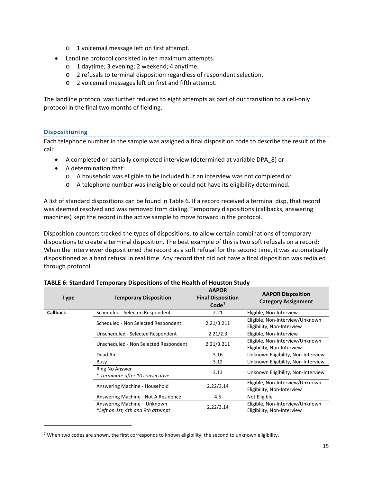- o 1 voicemail message left on first attempt.
- Landline protocol consisted in ten maximum attempts.
	- o 1 daytime; 3 evening; 2 weekend; 4 anytime.
	- o 2 refusals to terminal disposition regardless of respondent selection.
	- o 2 voicemail messages left on first and fifth attempt.

The landline protocol was further reduced to eight attempts as part of our transition to a cell-only protocol in the final two months of fielding.

# **Dispositioning**

 $\overline{a}$ 

Each telephone number in the sample was assigned a final disposition code to describe the result of the call:

- A completed or partially completed interview (determined at variable DPA\_8) or
- A determination that:
	- o A household was eligible to be included but an interview was not completed or
	- o A telephone number was ineligible or could not have its eligibility determined.

A list of standard dispositions can be found in Table 6. If a record received a terminal disp, that record was deemed resolved and was removed from dialing. Temporary dispositions (callbacks, answering machines) kept the record in the active sample to move forward in the protocol.

Disposition counters tracked the types of dispositions, to allow certain combinations of temporary dispositions to create a terminal disposition. The best example of this is two soft refusals on a record: When the interviewer dispositioned the record as a soft refusal for the second time, it was automatically dispositioned as a hard refusal in real time. Any record that did not have a final disposition was redialed through protocol.

| <b>Type</b>     | <b>Temporary Disposition</b>                                     | <b>AAPOR</b><br><b>Final Disposition</b><br>Code <sup>7</sup> | <b>AAPOR Disposition</b><br><b>Category Assignment</b>        |
|-----------------|------------------------------------------------------------------|---------------------------------------------------------------|---------------------------------------------------------------|
| <b>Callback</b> | Scheduled - Selected Respondent                                  | 2.21                                                          | Eligible, Non-Interview                                       |
|                 | Scheduled - Non Selected Respondent                              | 2.21/3.211                                                    | Eligible, Non-Interview/Unknown<br>Eligibility, Non-Interview |
|                 | Unscheduled - Selected Respondent                                | 2.21/2.3                                                      | Eligible, Non-Interview                                       |
|                 | Unscheduled - Non Selected Respondent                            | 2.21/3.211                                                    | Eligible, Non-Interview/Unknown<br>Eligibility, Non-Interview |
|                 | Dead Air                                                         | 3.16                                                          | Unknown Eligibility, Non-Interview                            |
|                 | Busy                                                             | 3.12                                                          | Unknown Eligibility, Non-Interview                            |
|                 | Ring No Answer<br>* Terminate after 10 consecutive               | 3.13                                                          | Unknown Eligibility, Non-Interview                            |
|                 | Answering Machine - Household                                    | 2.22/3.14                                                     | Eligible, Non-Interview/Unknown<br>Eligibility, Non-Interview |
|                 | Answering Machine - Not A Residence                              | 4.5                                                           | Not Eligible                                                  |
|                 | Answering Machine - Unknown<br>*Left on 1st, 4th and 9th attempt | 2.22/3.14                                                     | Eligible, Non-Interview/Unknown<br>Eligibility, Non-Interview |

**TABLE 6: Standard Temporary Dispositions of the Health of Houston Study**

<span id="page-14-0"></span><sup>&</sup>lt;sup>7</sup> When two codes are shown, the first corresponds to known eligibility, the second to unknown eligibility.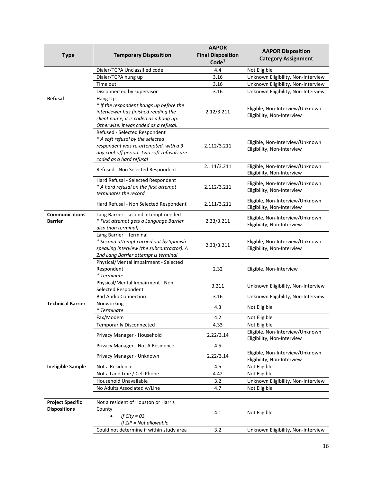| <b>Type</b>                             | <b>Temporary Disposition</b>                                                                                                                                                        | <b>AAPOR</b><br><b>Final Disposition</b><br>Code <sup>7</sup> | <b>AAPOR Disposition</b><br><b>Category Assignment</b>        |
|-----------------------------------------|-------------------------------------------------------------------------------------------------------------------------------------------------------------------------------------|---------------------------------------------------------------|---------------------------------------------------------------|
|                                         | Dialer/TCPA Unclassified code                                                                                                                                                       | 4.4                                                           | Not Eligible                                                  |
|                                         | Dialer/TCPA hung up                                                                                                                                                                 | 3.16                                                          | Unknown Eligibility, Non-Interview                            |
|                                         | Time out                                                                                                                                                                            | 3.16                                                          | Unknown Eligibility, Non-Interview                            |
|                                         | Disconnected by supervisor                                                                                                                                                          | 3.16                                                          | Unknown Eligibility, Non-Interview                            |
| Refusal                                 | Hang Up<br>* If the respondent hangs up before the<br>interviewer has finished reading the<br>client name, it is coded as a hang up.<br>Otherwise, it was coded as a refusal.       | 2.12/3.211                                                    | Eligible, Non-Interview/Unknown<br>Eligibility, Non-Interview |
|                                         | Refused - Selected Respondent<br>* A soft refusal by the selected<br>respondent was re-attempted, with a 3<br>day cool-off period. Two soft refusals are<br>coded as a hard refusal | 2.112/3.211                                                   | Eligible, Non-Interview/Unknown<br>Eligibility, Non-Interview |
|                                         | Refused - Non Selected Respondent                                                                                                                                                   | 2.111/3.211                                                   | Eligible, Non-Interview/Unknown<br>Eligibility, Non-Interview |
|                                         | Hard Refusal - Selected Respondent<br>* A hard refusal on the first attempt<br>terminates the record                                                                                | 2.112/3.211                                                   | Eligible, Non-Interview/Unknown<br>Eligibility, Non-Interview |
|                                         | Hard Refusal - Non Selected Respondent                                                                                                                                              | 2.111/3.211                                                   | Eligible, Non-Interview/Unknown<br>Eligibility, Non-Interview |
| <b>Communications</b><br><b>Barrier</b> | Lang Barrier - second attempt needed<br>* First attempt gets a Language Barrier<br>disp (non terminal)                                                                              | 2.33/3.211                                                    | Eligible, Non-Interview/Unknown<br>Eligibility, Non-Interview |
|                                         | Lang Barrier - terminal<br>* Second attempt carried out by Spanish<br>speaking interview (the subcontractor). A<br>2nd Lang Barrier attempt is terminal                             | 2.33/3.211                                                    | Eligible, Non-Interview/Unknown<br>Eligibility, Non-Interview |
|                                         | Physical/Mental Impairment - Selected<br>Respondent<br>* Terminate                                                                                                                  | 2.32                                                          | Eligible, Non-Interview                                       |
|                                         | Physical/Mental Impairment - Non<br>Selected Respondent                                                                                                                             | 3.211                                                         | Unknown Eligibility, Non-Interview                            |
|                                         | <b>Bad Audio Connection</b>                                                                                                                                                         | 3.16                                                          | Unknown Eligibility, Non-Interview                            |
| <b>Technical Barrier</b>                | Nonworking<br>* Terminate                                                                                                                                                           | 4.3                                                           | Not Eligible                                                  |
|                                         | Fax/Modem                                                                                                                                                                           | 4.2                                                           | Not Eligible                                                  |
|                                         | <b>Temporarily Disconnected</b>                                                                                                                                                     | 4.33                                                          | Not Eligible                                                  |
|                                         | Privacy Manager - Household                                                                                                                                                         | 2.22/3.14                                                     | Eligible, Non-Interview/Unknown<br>Eligibility, Non-Interview |
|                                         | Privacy Manager - Not A Residence                                                                                                                                                   | 4.5                                                           |                                                               |
|                                         | Privacy Manager - Unknown                                                                                                                                                           | 2.22/3.14                                                     | Eligible, Non-Interview/Unknown<br>Eligibility, Non-Interview |
| <b>Ineligible Sample</b>                | Not a Residence                                                                                                                                                                     | 4.5                                                           | Not Eligible                                                  |
|                                         | Not a Land Line / Cell Phone                                                                                                                                                        | 4.42                                                          | Not Eligible                                                  |
|                                         | Household Unavailable                                                                                                                                                               | 3.2                                                           | Unknown Eligibility, Non-Interview                            |
|                                         | No Adults Associated w/Line                                                                                                                                                         | 4.7                                                           | Not Eligible                                                  |
| <b>Project Specific</b>                 | Not a resident of Houston or Harris                                                                                                                                                 |                                                               |                                                               |
| <b>Dispositions</b>                     | County<br>If City = $03$<br>If ZIP = Not allowable                                                                                                                                  | 4.1                                                           | Not Eligible                                                  |
|                                         | Could not determine if within study area                                                                                                                                            | 3.2                                                           | Unknown Eligibility, Non-Interview                            |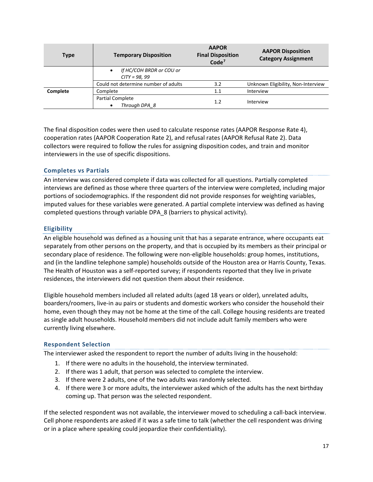| <b>Type</b> | <b>Temporary Disposition</b>                | <b>AAPOR</b><br><b>Final Disposition</b><br>Code <sup>7</sup> | <b>AAPOR Disposition</b><br><b>Category Assignment</b> |
|-------------|---------------------------------------------|---------------------------------------------------------------|--------------------------------------------------------|
|             | If HC/COH BRDR or COU or<br>$CITY = 98, 99$ |                                                               |                                                        |
|             | Could not determine number of adults        | 3.2                                                           | Unknown Eligibility, Non-Interview                     |
| Complete    | Complete                                    | 1.1                                                           | Interview                                              |
|             | <b>Partial Complete</b><br>Through DPA 8    | 1.2                                                           | Interview                                              |

The final disposition codes were then used to calculate response rates (AAPOR Response Rate 4), cooperation rates (AAPOR Cooperation Rate 2), and refusal rates (AAPOR Refusal Rate 2). Data collectors were required to follow the rules for assigning disposition codes, and train and monitor interviewers in the use of specific dispositions.

# **Completes vs Partials**

An interview was considered complete if data was collected for all questions. Partially completed interviews are defined as those where three quarters of the interview were completed, including major portions of sociodemographics. If the respondent did not provide responses for weighting variables, imputed values for these variables were generated. A partial complete interview was defined as having completed questions through variable DPA\_8 (barriers to physical activity).

# **Eligibility**

An eligible household was defined as a housing unit that has a separate entrance, where occupants eat separately from other persons on the property, and that is occupied by its members as their principal or secondary place of residence. The following were non-eligible households: group homes, institutions, and (in the landline telephone sample) households outside of the Houston area or Harris County, Texas. The Health of Houston was a self-reported survey; if respondents reported that they live in private residences, the interviewers did not question them about their residence.

Eligible household members included all related adults (aged 18 years or older), unrelated adults, boarders/roomers, live-in au pairs or students and domestic workers who consider the household their home, even though they may not be home at the time of the call. College housing residents are treated as single adult households. Household members did not include adult family members who were currently living elsewhere.

# **Respondent Selection**

The interviewer asked the respondent to report the number of adults living in the household:

- 1. If there were no adults in the household, the interview terminated.
- 2. If there was 1 adult, that person was selected to complete the interview.
- 3. If there were 2 adults, one of the two adults was randomly selected.
- 4. If there were 3 or more adults, the interviewer asked which of the adults has the next birthday coming up. That person was the selected respondent.

If the selected respondent was not available, the interviewer moved to scheduling a call-back interview. Cell phone respondents are asked if it was a safe time to talk (whether the cell respondent was driving or in a place where speaking could jeopardize their confidentiality).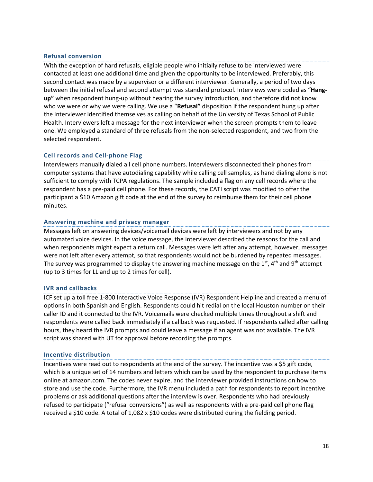## **Refusal conversion**

With the exception of hard refusals, eligible people who initially refuse to be interviewed were contacted at least one additional time and given the opportunity to be interviewed. Preferably, this second contact was made by a supervisor or a different interviewer. Generally, a period of two days between the initial refusal and second attempt was standard protocol. Interviews were coded as "**Hangup"** when respondent hung-up without hearing the survey introduction, and therefore did not know who we were or why we were calling. We use a "**Refusal"** disposition if the respondent hung up after the interviewer identified themselves as calling on behalf of the University of Texas School of Public Health. Interviewers left a message for the next interviewer when the screen prompts them to leave one. We employed a standard of three refusals from the non-selected respondent, and two from the selected respondent.

#### **Cell records and Cell-phone Flag**

Interviewers manually dialed all cell phone numbers. Interviewers disconnected their phones from computer systems that have autodialing capability while calling cell samples, as hand dialing alone is not sufficient to comply with TCPA regulations. The sample included a flag on any cell records where the respondent has a pre-paid cell phone. For these records, the CATI script was modified to offer the participant a \$10 Amazon gift code at the end of the survey to reimburse them for their cell phone minutes.

#### **Answering machine and privacy manager**

Messages left on answering devices/voicemail devices were left by interviewers and not by any automated voice devices. In the voice message, the interviewer described the reasons for the call and when respondents might expect a return call. Messages were left after any attempt, however, messages were not left after every attempt, so that respondents would not be burdened by repeated messages. The survey was programmed to display the answering machine message on the  $1^{st}$ ,  $4^{th}$  and  $9^{th}$  attempt (up to 3 times for LL and up to 2 times for cell).

#### **IVR and callbacks**

ICF set up a toll free 1-800 Interactive Voice Response (IVR) Respondent Helpline and created a menu of options in both Spanish and English. Respondents could hit redial on the local Houston number on their caller ID and it connected to the IVR. Voicemails were checked multiple times throughout a shift and respondents were called back immediately if a callback was requested. If respondents called after calling hours, they heard the IVR prompts and could leave a message if an agent was not available. The IVR script was shared with UT for approval before recording the prompts.

#### **Incentive distribution**

Incentives were read out to respondents at the end of the survey. The incentive was a \$5 gift code, which is a unique set of 14 numbers and letters which can be used by the respondent to purchase items online at amazon.com. The codes never expire, and the interviewer provided instructions on how to store and use the code. Furthermore, the IVR menu included a path for respondents to report incentive problems or ask additional questions after the interview is over. Respondents who had previously refused to participate ("refusal conversions") as well as respondents with a pre-paid cell phone flag received a \$10 code. A total of 1,082 x \$10 codes were distributed during the fielding period.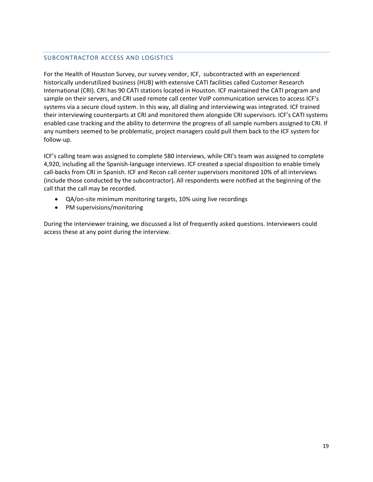# <span id="page-18-0"></span>SUBCONTRACTOR ACCESS AND LOGISTICS

For the Health of Houston Survey, our survey vendor, ICF, subcontracted with an experienced historically underutilized business (HUB) with extensive CATI facilities called Customer Research International (CRI). CRI has 90 CATI stations located in Houston. ICF maintained the CATI program and sample on their servers, and CRI used remote call center VoIP communication services to access ICF's systems via a secure cloud system. In this way, all dialing and interviewing was integrated. ICF trained their interviewing counterparts at CRI and monitored them alongside CRI supervisors. ICF's CATI systems enabled case tracking and the ability to determine the progress of all sample numbers assigned to CRI. If any numbers seemed to be problematic, project managers could pull them back to the ICF system for follow-up.

ICF's calling team was assigned to complete 580 interviews, while CRI's team was assigned to complete 4,920, including all the Spanish-language interviews. ICF created a special disposition to enable timely call-backs from CRI in Spanish. ICF and Recon call center supervisors monitored 10% of all interviews (include those conducted by the subcontractor). All respondents were notified at the beginning of the call that the call may be recorded.

- QA/on-site minimum monitoring targets, 10% using live recordings
- PM supervisions/monitoring

During the interviewer training, we discussed a list of frequently asked questions. Interviewers could access these at any point during the interview.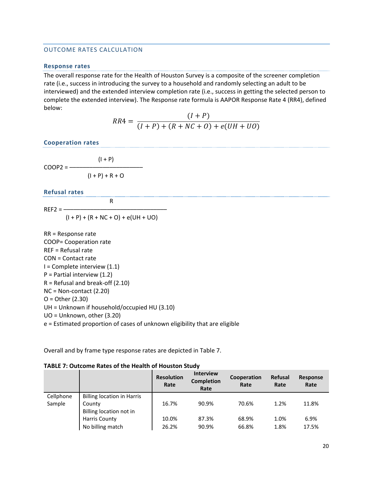#### <span id="page-19-0"></span>OUTCOME RATES CALCULATION

#### **Response rates**

The overall response rate for the Health of Houston Survey is a composite of the screener completion rate (i.e., success in introducing the survey to a household and randomly selecting an adult to be interviewed) and the extended interview completion rate (i.e., success in getting the selected person to complete the extended interview). The Response rate formula is AAPOR Response Rate 4 (RR4), defined below:

$$
RR4 = \frac{(I+P)}{(I+P) + (R+NC+O) + e(UH+UO)}
$$

**Cooperation rates**

 $(I + P)$  $COOP2 = (I + P) + R + O$ 

#### **Refusal rates**

 $REF2 =$ —–

 $(I + P) + (R + NC + O) + e(UH + UO)$ 

R

RR = Response rate COOP= Cooperation rate REF = Refusal rate CON = Contact rate  $I =$  Complete interview  $(1.1)$ P = Partial interview (1.2) R = Refusal and break-off (2.10) NC = Non-contact (2.20) O = Other (2.30) UH = Unknown if household/occupied HU (3.10) UO = Unknown, other (3.20) e = Estimated proportion of cases of unknown eligibility that are eligible

Overall and by frame type response rates are depicted in Table 7.

| TABLE 7: Outcome Rates of the Health of Houston Study |  |
|-------------------------------------------------------|--|
|-------------------------------------------------------|--|

|           |                                   | <b>Resolution</b><br>Rate | <b>Interview</b><br><b>Completion</b><br>Rate | Cooperation<br>Rate | Refusal<br>Rate | Response<br>Rate |
|-----------|-----------------------------------|---------------------------|-----------------------------------------------|---------------------|-----------------|------------------|
| Cellphone | <b>Billing location in Harris</b> |                           |                                               |                     |                 |                  |
| Sample    | County                            | 16.7%                     | 90.9%                                         | 70.6%               | 1.2%            | 11.8%            |
|           | Billing location not in           |                           |                                               |                     |                 |                  |
|           | Harris County                     | 10.0%                     | 87.3%                                         | 68.9%               | 1.0%            | 6.9%             |
|           | No billing match                  | 26.2%                     | 90.9%                                         | 66.8%               | 1.8%            | 17.5%            |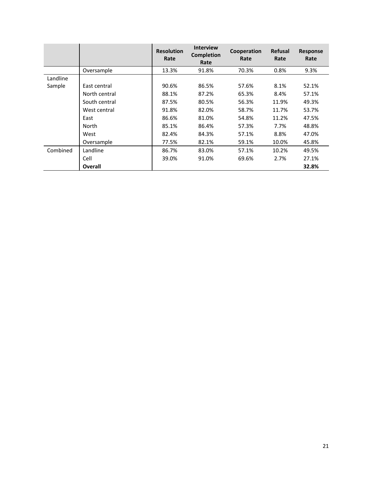|          |               | <b>Resolution</b><br>Rate | <b>Interview</b><br><b>Completion</b><br>Rate | Cooperation<br>Rate | <b>Refusal</b><br>Rate | <b>Response</b><br>Rate |
|----------|---------------|---------------------------|-----------------------------------------------|---------------------|------------------------|-------------------------|
|          | Oversample    | 13.3%                     | 91.8%                                         | 70.3%               | 0.8%                   | 9.3%                    |
| Landline |               |                           |                                               |                     |                        |                         |
| Sample   | East central  | 90.6%                     | 86.5%                                         | 57.6%               | 8.1%                   | 52.1%                   |
|          | North central | 88.1%                     | 87.2%                                         | 65.3%               | 8.4%                   | 57.1%                   |
|          | South central | 87.5%                     | 80.5%                                         | 56.3%               | 11.9%                  | 49.3%                   |
|          | West central  | 91.8%                     | 82.0%                                         | 58.7%               | 11.7%                  | 53.7%                   |
|          | East          | 86.6%                     | 81.0%                                         | 54.8%               | 11.2%                  | 47.5%                   |
|          | North         | 85.1%                     | 86.4%                                         | 57.3%               | 7.7%                   | 48.8%                   |
|          | West          | 82.4%                     | 84.3%                                         | 57.1%               | 8.8%                   | 47.0%                   |
|          | Oversample    | 77.5%                     | 82.1%                                         | 59.1%               | 10.0%                  | 45.8%                   |
| Combined | Landline      | 86.7%                     | 83.0%                                         | 57.1%               | 10.2%                  | 49.5%                   |
|          | Cell          | 39.0%                     | 91.0%                                         | 69.6%               | 2.7%                   | 27.1%                   |
|          | Overall       |                           |                                               |                     |                        | 32.8%                   |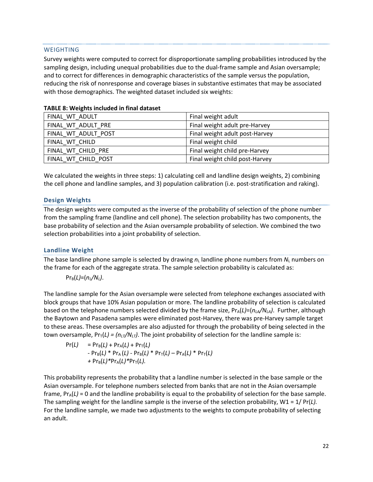#### WEIGHTING

Survey weights were computed to correct for disproportionate sampling probabilities introduced by the sampling design, including unequal probabilities due to the dual-frame sample and Asian oversample; and to correct for differences in demographic characteristics of the sample versus the population, reducing the risk of nonresponse and coverage biases in substantive estimates that may be associated with those demographics. The weighted dataset included six weights:

| FINAL WT ADULT      | Final weight adult             |
|---------------------|--------------------------------|
| FINAL WT ADULT PRE  | Final weight adult pre-Harvey  |
| FINAL WT ADULT POST | Final weight adult post-Harvey |
| FINAL WT CHILD      | Final weight child             |
| FINAL WT CHILD PRE  | Final weight child pre-Harvey  |
| FINAL WT CHILD POST | Final weight child post-Harvey |

#### **TABLE 8: Weights included in final dataset**

We calculated the weights in three steps: 1) calculating cell and landline design weights, 2) combining the cell phone and landline samples, and 3) population calibration (i.e. post-stratification and raking).

#### **Design Weights**

The design weights were computed as the inverse of the probability of selection of the phone number from the sampling frame (landline and cell phone). The selection probability has two components, the base probability of selection and the Asian oversample probability of selection. We combined the two selection probabilities into a joint probability of selection.

#### **Landline Weight**

The base landline phone sample is selected by drawing  $n<sub>L</sub>$  landline phone numbers from  $N<sub>L</sub>$  numbers on the frame for each of the aggregate strata. The sample selection probability is calculated as:

$$
Pr_{B}(L)=(n_{L}/N_{L}).
$$

The landline sample for the Asian oversample were selected from telephone exchanges associated with block groups that have 10% Asian population or more. The landline probability of selection is calculated based on the telephone numbers selected divided by the frame size,  $Pr_A(L) = (n_L A / N_L A)$ . Further, although the Baytown and Pasadena samples were eliminated post-Harvey, there was pre-Harvey sample target to these areas. These oversamples are also adjusted for through the probability of being selected in the town oversample,  $Pr_{\tau}(L) = (n_{LT}/N_{LT})$ . The joint probability of selection for the landline sample is:

$$
Pr(L) = Pr_{B}(L) + Pr_{A}(L) + Pr_{T}(L)
$$
  
- Pr\_{B}(L) \* Pr\_{A}(L) - Pr\_{B}(L) \* Pr\_{T}(L) - Pr\_{A}(L) \* Pr\_{T}(L)  
+ Pr\_{B}(L) \* Pr\_{A}(L) \* Pr\_{T}(L).

This probability represents the probability that a landline number is selected in the base sample or the Asian oversample. For telephone numbers selected from banks that are not in the Asian oversample frame,  $Pr_A(L) = 0$  and the landline probability is equal to the probability of selection for the base sample. The sampling weight for the landline sample is the inverse of the selection probability, W1 = 1/ Pr(*L).* For the landline sample, we made two adjustments to the weights to compute probability of selecting an adult.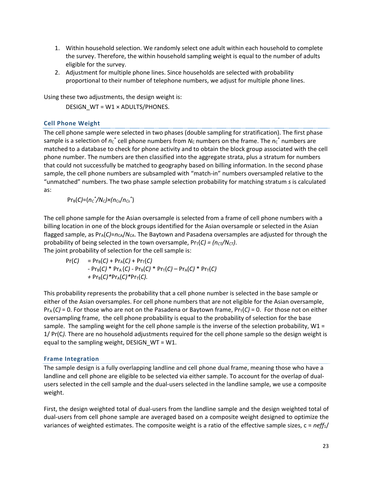- 1. Within household selection. We randomly select one adult within each household to complete the survey. Therefore, the within household sampling weight is equal to the number of adults eligible for the survey.
- 2. Adjustment for multiple phone lines. Since households are selected with probability proportional to their number of telephone numbers, we adjust for multiple phone lines.

Using these two adjustments, the design weight is:

DESIGN\_WT = W1 × ADULTS/PHONES.

# **Cell Phone Weight**

The cell phone sample were selected in two phases (double sampling for stratification). The first phase sample is a selection of  $n_{\rm C}^*$  cell phone numbers from  $N_{\rm C}$  numbers on the frame. The  $n_{\rm C}^*$  numbers are matched to a database to check for phone activity and to obtain the block group associated with the cell phone number. The numbers are then classified into the aggregate strata, plus a stratum for numbers that could not successfully be matched to geography based on billing information. In the second phase sample, the cell phone numbers are subsampled with "match-in" numbers oversampled relative to the "unmatched" numbers. The two phase sample selection probability for matching stratum *s* is calculated as:

PrB(*C)*=(*nC \* /NC)×(n*Cs/*nCs\** )

The cell phone sample for the Asian oversample is selected from a frame of cell phone numbers with a billing location in one of the block groups identified for the Asian oversample or selected in the Asian flagged sample, as  $Pr_A(C)=n_{CA}/N_{CA}$ . The Baytown and Pasadena oversamples are adjusted for through the probability of being selected in the town oversample,  $Pr<sub>T</sub>(C) = (n<sub>CT</sub>/N<sub>CT</sub>)$ . The joint probability of selection for the cell sample is:

$$
Pr(C) = Pr_{B}(C) + Pr_{A}(C) + Pr_{T}(C)
$$
  
- Pr\_{B}(C) \* Pr\_{A}(C) - Pr\_{B}(C) \* Pr\_{T}(C) - Pr\_{A}(C) \* Pr\_{T}(C)  
+ Pr\_{B}(C) \* Pr\_{A}(C) \* Pr\_{T}(C).

This probability represents the probability that a cell phone number is selected in the base sample or either of the Asian oversamples. For cell phone numbers that are not eligible for the Asian oversample,  $Pr_A(C)$  = 0. For those who are not on the Pasadena or Baytown frame,  $Pr_T(C)$  = 0. For those not on either oversampling frame, the cell phone probability is equal to the probability of selection for the base sample. The sampling weight for the cell phone sample is the inverse of the selection probability,  $W1 =$ 1/ Pr(C*).* There are no household adjustments required for the cell phone sample so the design weight is equal to the sampling weight, DESIGN\_WT = W1.

# **Frame Integration**

The sample design is a fully overlapping landline and cell phone dual frame, meaning those who have a landline and cell phone are eligible to be selected via either sample. To account for the overlap of dualusers selected in the cell sample and the dual-users selected in the landline sample, we use a composite weight.

First, the design weighted total of dual-users from the landline sample and the design weighted total of dual-users from cell phone sample are averaged based on a composite weight designed to optimize the variances of weighted estimates. The composite weight is a ratio of the effective sample sizes, c = *neff*1/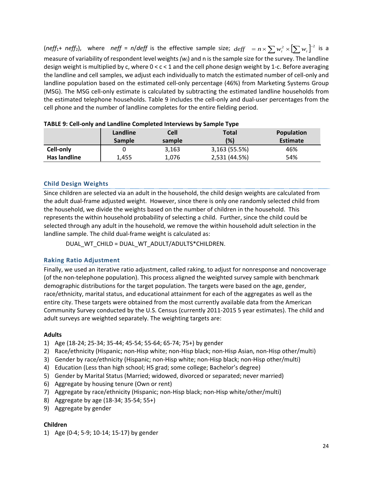$(neff_1 + nef_2)$ , where  $neff = n/deff$  is the effective sample size;  $deff = n \times \sum w_i^2 \times [\sum w_i]^{-2}$  is a measure of variability of respondent level weights *(wi*) and n is the sample size for the survey. The landline design weight is multiplied by c, where 0 < c < 1 and the cell phone design weight by 1-c. Before averaging the landline and cell samples, we adjust each individually to match the estimated number of cell-only and landline population based on the estimated cell-only percentage (46%) from Marketing Systems Group (MSG). The MSG cell-only estimate is calculated by subtracting the estimated landline households from the estimated telephone households. [Table 9](#page-25-1) includes the cell-only and dual-user percentages from the cell phone and the number of landline completes for the entire fielding period.

|              | Landline<br><b>Sample</b> | <b>Cell</b><br>sample | <b>Total</b><br>(%) | <b>Population</b><br><b>Estimate</b> |
|--------------|---------------------------|-----------------------|---------------------|--------------------------------------|
| Cell-only    |                           | 3,163                 | 3,163 (55.5%)       | 46%                                  |
| Has landline | 1.455                     | 1,076                 | 2,531 (44.5%)       | 54%                                  |

| TABLE 9: Cell-only and Landline Completed Interviews by Sample Type |  |
|---------------------------------------------------------------------|--|
|---------------------------------------------------------------------|--|

# **Child Design Weights**

Since children are selected via an adult in the household, the child design weights are calculated from the adult dual-frame adjusted weight. However, since there is only one randomly selected child from the household, we divide the weights based on the number of children in the household. This represents the within household probability of selecting a child. Further, since the child could be selected through any adult in the household, we remove the within household adult selection in the landline sample. The child dual-frame weight is calculated as:

DUAL\_WT\_CHILD = DUAL\_WT\_ADULT/ADULTS\*CHILDREN.

#### **Raking Ratio Adjustment**

Finally, we used an iterative ratio adjustment, called raking, to adjust for nonresponse and noncoverage (of the non-telephone population). This process aligned the weighted survey sample with benchmark demographic distributions for the target population. The targets were based on the age, gender, race/ethnicity, marital status, and educational attainment for each of the aggregates as well as the entire city. These targets were obtained from the most currently available data from the American Community Survey conducted by the U.S. Census (currently 2011-2015 5 year estimates). The child and adult surveys are weighted separately. The weighting targets are:

#### **Adults**

- 1) Age (18-24; 25-34; 35-44; 45-54; 55-64; 65-74; 75+) by gender
- 2) Race/ethnicity (Hispanic; non-Hisp white; non-Hisp black; non-Hisp Asian, non-Hisp other/multi)
- 3) Gender by race/ethnicity (Hispanic; non-Hisp white; non-Hisp black; non-Hisp other/multi)
- 4) Education (Less than high school; HS grad; some college; Bachelor's degree)
- 5) Gender by Marital Status (Married; widowed, divorced or separated; never married)
- 6) Aggregate by housing tenure (Own or rent)
- 7) Aggregate by race/ethnicity (Hispanic; non-Hisp black; non-Hisp white/other/multi)
- 8) Aggregate by age (18-34; 35-54; 55+)
- 9) Aggregate by gender

#### **Children**

1) Age (0-4; 5-9; 10-14; 15-17) by gender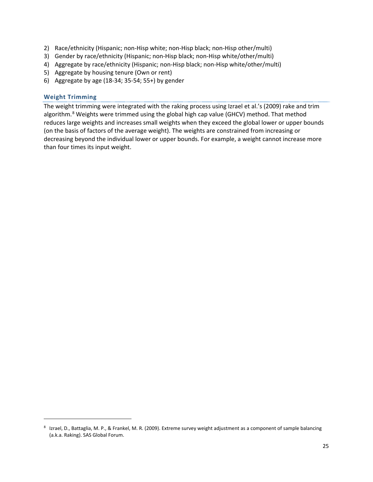- 2) Race/ethnicity (Hispanic; non-Hisp white; non-Hisp black; non-Hisp other/multi)
- 3) Gender by race/ethnicity (Hispanic; non-Hisp black; non-Hisp white/other/multi)
- 4) Aggregate by race/ethnicity (Hispanic; non-Hisp black; non-Hisp white/other/multi)
- 5) Aggregate by housing tenure (Own or rent)
- 6) Aggregate by age (18-34; 35-54; 55+) by gender

#### **Weight Trimming**

 $\overline{a}$ 

The weight trimming were integrated with the raking process using Izrael et al.'s (2009) rake and trim algorithm.<sup>[8](#page-24-0)</sup> Weights were trimmed using the global high cap value (GHCV) method. That method reduces large weights and increases small weights when they exceed the global lower or upper bounds (on the basis of factors of the average weight). The weights are constrained from increasing or decreasing beyond the individual lower or upper bounds. For example, a weight cannot increase more than four times its input weight.

<span id="page-24-0"></span><sup>8</sup> Izrael, D., Battaglia, M. P., & Frankel, M. R. (2009). Extreme survey weight adjustment as a component of sample balancing (a.k.a. Raking). SAS Global Forum.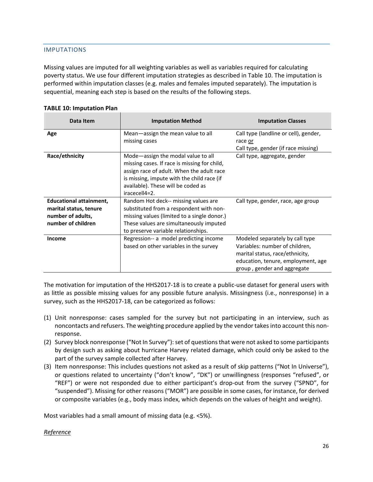# <span id="page-25-0"></span>IMPUTATIONS

Missing values are imputed for all weighting variables as well as variables required for calculating poverty status. We use four different imputation strategies as described in [Table 1](#page-25-1)0. The imputation is performed within imputation classes (e.g. males and females imputed separately). The imputation is sequential, meaning each step is based on the results of the following steps.

| Data Item                                                                                           | <b>Imputation Method</b>                                                                                                                                                                                                             | <b>Imputation Classes</b>                                                                                                                                                 |
|-----------------------------------------------------------------------------------------------------|--------------------------------------------------------------------------------------------------------------------------------------------------------------------------------------------------------------------------------------|---------------------------------------------------------------------------------------------------------------------------------------------------------------------------|
| Age                                                                                                 | Mean-assign the mean value to all<br>missing cases                                                                                                                                                                                   | Call type (landline or cell), gender,<br>race or<br>Call type, gender (if race missing)                                                                                   |
| Race/ethnicity                                                                                      | Mode-assign the modal value to all<br>missing cases. If race is missing for child,<br>assign race of adult. When the adult race<br>is missing, impute with the child race (if<br>available). These will be coded as<br>iracecell4=2. | Call type, aggregate, gender                                                                                                                                              |
| <b>Educational attainment,</b><br>marital status, tenure<br>number of adults,<br>number of children | Random Hot deck-- missing values are<br>substituted from a respondent with non-<br>missing values (limited to a single donor.)<br>These values are simultaneously imputed<br>to preserve variable relationships.                     | Call type, gender, race, age group                                                                                                                                        |
| <b>Income</b>                                                                                       | Regression-- a model predicting income<br>based on other variables in the survey                                                                                                                                                     | Modeled separately by call type<br>Variables: number of children,<br>marital status, race/ethnicity,<br>education, tenure, employment, age<br>group, gender and aggregate |

#### <span id="page-25-1"></span>**TABLE 10: Imputation Plan**

The motivation for imputation of the HHS2017-18 is to create a public-use dataset for general users with as little as possible missing values for any possible future analysis. Missingness (i.e., nonresponse) in a survey, such as the HHS2017-18, can be categorized as follows:

- (1) Unit nonresponse: cases sampled for the survey but not participating in an interview, such as noncontacts and refusers. The weighting procedure applied by the vendor takes into account this nonresponse.
- (2) Survey block nonresponse ("Not In Survey"): set of questions that were not asked to some participants by design such as asking about hurricane Harvey related damage, which could only be asked to the part of the survey sample collected after Harvey.
- (3) Item nonresponse: This includes questions not asked as a result of skip patterns ("Not In Universe"), or questions related to uncertainty ("don't know", "DK") or unwillingness (responses "refused", or "REF") or were not responded due to either participant's drop-out from the survey ("SPND", for "suspended"). Missing for other reasons ("MOR") are possible in some cases, for instance, for derived or composite variables (e.g., body mass index, which depends on the values of height and weight).

Most variables had a small amount of missing data (e.g. <5%).

# *Reference*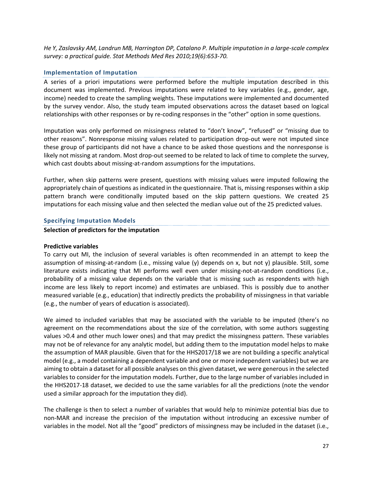*He Y, Zaslavsky AM, Landrun MB, Harrington DP, Catalano P. Multiple imputation in a large-scale complex survey: a practical guide. Stat Methods Med Res 2010;19(6):653-70.*

#### **Implementation of Imputation**

A series of a priori imputations were performed before the multiple imputation described in this document was implemented. Previous imputations were related to key variables (e.g., gender, age, income) needed to create the sampling weights. These imputations were implemented and documented by the survey vendor. Also, the study team imputed observations across the dataset based on logical relationships with other responses or by re-coding responses in the "other" option in some questions.

Imputation was only performed on missingness related to "don't know", "refused" or "missing due to other reasons". Nonresponse missing values related to participation drop-out were not imputed since these group of participants did not have a chance to be asked those questions and the nonresponse is likely not missing at random. Most drop-out seemed to be related to lack of time to complete the survey, which cast doubts about missing-at-random assumptions for the imputations.

Further, when skip patterns were present, questions with missing values were imputed following the appropriately chain of questions as indicated in the questionnaire. That is, missing responses within a skip pattern branch were conditionally imputed based on the skip pattern questions. We created 25 imputations for each missing value and then selected the median value out of the 25 predicted values.

#### **Specifying Imputation Models**

#### **Selection of predictors for the imputation**

#### **Predictive variables**

To carry out MI, the inclusion of several variables is often recommended in an attempt to keep the assumption of missing-at-random (i.e., missing value (y) depends on x, but not y) plausible. Still, some literature exists indicating that MI performs well even under missing-not-at-random conditions (i.e., probability of a missing value depends on the variable that is missing such as respondents with high income are less likely to report income) and estimates are unbiased. This is possibly due to another measured variable (e.g., education) that indirectly predicts the probability of missingness in that variable (e.g., the number of years of education is associated).

We aimed to included variables that may be associated with the variable to be imputed (there's no agreement on the recommendations about the size of the correlation, with some authors suggesting values >0.4 and other much lower ones) and that may predict the missingness pattern. These variables may not be of relevance for any analytic model, but adding them to the imputation model helps to make the assumption of MAR plausible. Given that for the HHS2017/18 we are not building a specific analytical model (e.g., a model containing a dependent variable and one or more independent variables) but we are aiming to obtain a dataset for all possible analyses on this given dataset, we were generous in the selected variables to consider for the imputation models. Further, due to the large number of variables included in the HHS2017-18 dataset, we decided to use the same variables for all the predictions (note the vendor used a similar approach for the imputation they did).

The challenge is then to select a number of variables that would help to minimize potential bias due to non-MAR and increase the precision of the imputation without introducing an excessive number of variables in the model. Not all the "good" predictors of missingness may be included in the dataset (i.e.,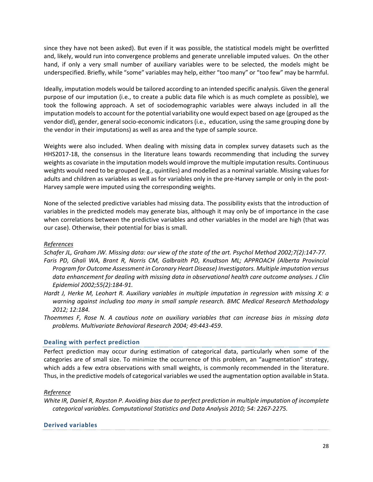since they have not been asked). But even if it was possible, the statistical models might be overfitted and, likely, would run into convergence problems and generate unreliable imputed values. On the other hand, if only a very small number of auxiliary variables were to be selected, the models might be underspecified. Briefly, while "some" variables may help, either "too many" or "too few" may be harmful.

Ideally, imputation models would be tailored according to an intended specific analysis. Given the general purpose of our imputation (i.e., to create a public data file which is as much complete as possible), we took the following approach. A set of sociodemographic variables were always included in all the imputation models to account for the potential variability one would expect based on age (grouped as the vendor did), gender, general socio-economic indicators (i.e., education, using the same grouping done by the vendor in their imputations) as well as area and the type of sample source.

Weights were also included. When dealing with missing data in complex survey datasets such as the HHS2017-18, the consensus in the literature leans towards recommending that including the survey weights as covariate in the imputation models would improve the multiple imputation results. Continuous weights would need to be grouped (e.g., quintiles) and modelled as a nominal variable. Missing values for adults and children as variables as well as for variables only in the pre-Harvey sample or only in the post-Harvey sample were imputed using the corresponding weights.

None of the selected predictive variables had missing data. The possibility exists that the introduction of variables in the predicted models may generate bias, although it may only be of importance in the case when correlations between the predictive variables and other variables in the model are high (that was our case). Otherwise, their potential for bias is small.

# *References*

*Schafer JL, Graham JW. Missing data: our view of the state of the art. Psychol Method 2002;7(2):147-77.* Faris PD, Ghali WA, Brant R, Norris CM, Galbraith PD, Knudtson ML; APPROACH (Alberta Provincial *Program for Outcome Assessment in Coronary Heart Disease) Investigators. Multiple imputation versus data enhancement for dealing with missing data in observational health care outcome analyses. J Clin Epidemiol 2002;55(2):184-91.* 

- *Hardt J, Herke M, Leohart R. Auxiliary variables in multiple imputation in regression with missing X: a warning against including too many in small sample research. BMC Medical Research Methodology 2012; 12:184.*
- *Thoemmes F, Rose N. A cautious note on auxiliary variables that can increase bias in missing data problems. Multivariate Behavioral Research 2004; 49:443-459*.

# **Dealing with perfect prediction**

Perfect prediction may occur during estimation of categorical data, particularly when some of the categories are of small size. To minimize the occurrence of this problem, an "augmentation" strategy, which adds a few extra observations with small weights, is commonly recommended in the literature. Thus, in the predictive models of categorical variables we used the augmentation option available in Stata.

# *Reference*

*White IR, Daniel R, Royston P. Avoiding bias due to perfect prediction in multiple imputation of incomplete categorical variables. Computational Statistics and Data Analysis 2010; 54: 2267-2275.*

# **Derived variables**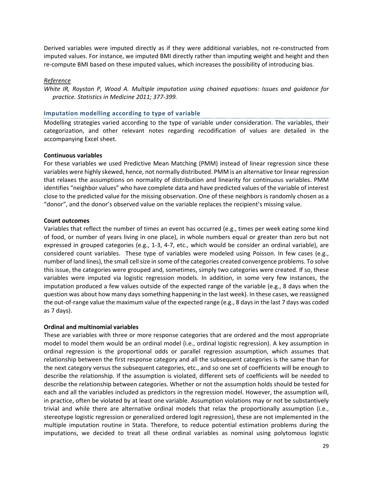Derived variables were imputed directly as if they were additional variables, not re-constructed from imputed values. For instance, we imputed BMI directly rather than imputing weight and height and then re-compute BMI based on these imputed values, which increases the possibility of introducing bias.

#### *Reference*

*White IR, Royston P, Wood A. Multiple imputation using chained equations: Issues and guidance for practice. Statistics in Medicine 2011; 377-399.*

#### **Imputation modelling according to type of variable**

Modelling strategies varied according to the type of variable under consideration. The variables, their categorization, and other relevant notes regarding recodification of values are detailed in the accompanying Excel sheet.

#### **Continuous variables**

For these variables we used Predictive Mean Matching (PMM) instead of linear regression since these variables were highly skewed, hence, not normally distributed. PMM is an alternative tor linear regression that relaxes the assumptions on normality of distribution and linearity for continuous variables. PMM identifies "neighbor values" who have complete data and have predicted values of the variable of interest close to the predicted value for the missing observation. One of these neighbors is randomly chosen as a "donor", and the donor's observed value on the variable replaces the recipient's missing value.

#### **Count outcomes**

Variables that reflect the number of times an event has occurred (e.g., times per week eating some kind of food, or number of years living in one place), in whole numbers equal or greater than zero but not expressed in grouped categories (e.g., 1-3, 4-7, etc., which would be consider an ordinal variable), are considered count variables. These type of variables were modeled using Poisson. In few cases (e.g., number of land lines), the small cell size in some of the categories created convergence problems. To solve this issue, the categories were grouped and, sometimes, simply two categories were created. If so, these variables were imputed via logistic regression models. In addition, in some very few instances, the imputation produced a few values outside of the expected range of the variable (e.g., 8 days when the question was about how many days something happening in the last week). In these cases, we reassigned the out-of-range value the maximum value of the expected range (e.g., 8 days in the last 7 days was coded as 7 days).

#### **Ordinal and multinomial variables**

These are variables with three or more response categories that are ordered and the most appropriate model to model them would be an ordinal model (i.e., ordinal logistic regression). A key assumption in ordinal regression is the proportional odds or parallel regression assumption, which assumes that relationship between the first response category and all the subsequent categories is the same than for the next category versus the subsequent categories, etc., and so one set of coefficients will be enough to describe the relationship. If the assumption is violated, different sets of coefficients will be needed to describe the relationship between categories. Whether or not the assumption holds should be tested for each and all the variables included as predictors in the regression model. However, the assumption will, in practice, often be violated by at least one variable. Assumption violations may or not be substantively trivial and while there are alternative ordinal models that relax the proportionally assumption (i.e., stereotype logistic regression or generalized ordered logit regression), these are not implemented in the multiple imputation routine in Stata. Therefore, to reduce potential estimation problems during the imputations, we decided to treat all these ordinal variables as nominal using polytomous logistic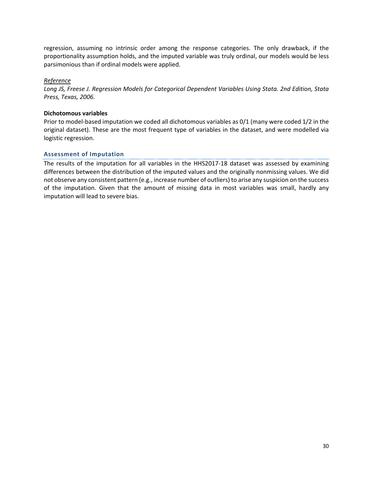regression, assuming no intrinsic order among the response categories. The only drawback, if the proportionality assumption holds, and the imputed variable was truly ordinal, our models would be less parsimonious than if ordinal models were applied.

## *Reference*

*Long JS, Freese J. Regression Models for Categorical Dependent Variables Using Stata. 2nd Edition, Stata Press, Texas, 2006.*

#### **Dichotomous variables**

Prior to model-based imputation we coded all dichotomous variables as 0/1 (many were coded 1/2 in the original dataset). These are the most frequent type of variables in the dataset, and were modelled via logistic regression.

# **Assessment of Imputation**

The results of the imputation for all variables in the HHS2017-18 dataset was assessed by examining differences between the distribution of the imputed values and the originally nonmissing values. We did not observe any consistent pattern (e.g., increase number of outliers) to arise any suspicion on the success of the imputation. Given that the amount of missing data in most variables was small, hardly any imputation will lead to severe bias.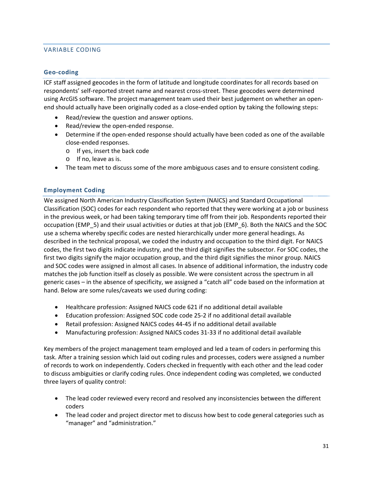# <span id="page-30-0"></span>VARIABLE CODING

## **Geo-coding**

ICF staff assigned geocodes in the form of latitude and longitude coordinates for all records based on respondents' self-reported street name and nearest cross-street. These geocodes were determined using ArcGIS software. The project management team used their best judgement on whether an openend should actually have been originally coded as a close-ended option by taking the following steps:

- Read/review the question and answer options.
- Read/review the open-ended response.
- Determine if the open-ended response should actually have been coded as one of the available close-ended responses.
	- o If yes, insert the back code
	- o If no, leave as is.
- The team met to discuss some of the more ambiguous cases and to ensure consistent coding.

#### **Employment Coding**

We assigned North American Industry Classification System (NAICS) and Standard Occupational Classification (SOC) codes for each respondent who reported that they were working at a job or business in the previous week, or had been taking temporary time off from their job. Respondents reported their occupation (EMP\_5) and their usual activities or duties at that job (EMP\_6). Both the NAICS and the SOC use a schema whereby specific codes are nested hierarchically under more general headings. As described in the technical proposal, we coded the industry and occupation to the third digit. For NAICS codes, the first two digits indicate industry, and the third digit signifies the subsector. For SOC codes, the first two digits signify the major occupation group, and the third digit signifies the minor group. NAICS and SOC codes were assigned in almost all cases. In absence of additional information, the industry code matches the job function itself as closely as possible. We were consistent across the spectrum in all generic cases – in the absence of specificity, we assigned a "catch all" code based on the information at hand. Below are some rules/caveats we used during coding:

- Healthcare profession: Assigned NAICS code 621 if no additional detail available
- Education profession: Assigned SOC code code 25-2 if no additional detail available
- Retail profession: Assigned NAICS codes 44-45 if no additional detail available
- Manufacturing profession: Assigned NAICS codes 31-33 if no additional detail available

Key members of the project management team employed and led a team of coders in performing this task. After a training session which laid out coding rules and processes, coders were assigned a number of records to work on independently. Coders checked in frequently with each other and the lead coder to discuss ambiguities or clarify coding rules. Once independent coding was completed, we conducted three layers of quality control:

- The lead coder reviewed every record and resolved any inconsistencies between the different coders
- The lead coder and project director met to discuss how best to code general categories such as "manager" and "administration."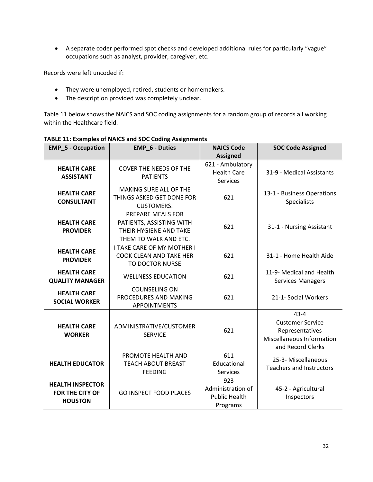• A separate coder performed spot checks and developed additional rules for particularly "vague" occupations such as analyst, provider, caregiver, etc.

Records were left uncoded if:

- They were unemployed, retired, students or homemakers.
- The description provided was completely unclear.

Table 11 below shows the NAICS and SOC coding assignments for a random group of records all working within the Healthcare field.

| <b>EMP_5 - Occupation</b>                                           | <b>EMP_6 - Duties</b>                                                                            | <b>NAICS Code</b><br><b>Assigned</b>                         | <b>SOC Code Assigned</b>                                                                                 |
|---------------------------------------------------------------------|--------------------------------------------------------------------------------------------------|--------------------------------------------------------------|----------------------------------------------------------------------------------------------------------|
| <b>HEALTH CARE</b><br><b>ASSISTANT</b>                              | <b>COVER THE NEEDS OF THE</b><br><b>PATIENTS</b>                                                 | 621 - Ambulatory<br><b>Health Care</b><br>Services           | 31-9 - Medical Assistants                                                                                |
| <b>HEALTH CARE</b><br><b>CONSULTANT</b>                             | MAKING SURE ALL OF THE<br>THINGS ASKED GET DONE FOR<br><b>CUSTOMERS.</b>                         | 621                                                          | 13-1 - Business Operations<br><b>Specialists</b>                                                         |
| <b>HEALTH CARE</b><br><b>PROVIDER</b>                               | PREPARE MEALS FOR<br>PATIENTS, ASSISTING WITH<br>THEIR HYGIENE AND TAKE<br>THEM TO WALK AND ETC. | 621                                                          | 31-1 - Nursing Assistant                                                                                 |
| <b>HEALTH CARE</b><br><b>PROVIDER</b>                               | <b>I TAKE CARE OF MY MOTHER I</b><br><b>COOK CLEAN AND TAKE HER</b><br>TO DOCTOR NURSE           | 621                                                          | 31-1 - Home Health Aide                                                                                  |
| <b>HEALTH CARE</b><br><b>QUALITY MANAGER</b>                        | <b>WELLNESS EDUCATION</b>                                                                        | 621                                                          | 11-9- Medical and Health<br><b>Services Managers</b>                                                     |
| <b>HEALTH CARE</b><br><b>SOCIAL WORKER</b>                          | <b>COUNSELING ON</b><br>PROCEDURES AND MAKING<br><b>APPOINTMENTS</b>                             | 621                                                          | 21-1- Social Workers                                                                                     |
| <b>HEALTH CARE</b><br><b>WORKER</b>                                 | ADMINISTRATIVE/CUSTOMER<br><b>SERVICE</b>                                                        | 621                                                          | $43 - 4$<br><b>Customer Service</b><br>Representatives<br>Miscellaneous Information<br>and Record Clerks |
| <b>HEALTH EDUCATOR</b>                                              | PROMOTE HEALTH AND<br><b>TEACH ABOUT BREAST</b><br><b>FEEDING</b>                                | 611<br>Educational<br>Services                               | 25-3- Miscellaneous<br><b>Teachers and Instructors</b>                                                   |
| <b>HEALTH INSPECTOR</b><br><b>FOR THE CITY OF</b><br><b>HOUSTON</b> | <b>GO INSPECT FOOD PLACES</b>                                                                    | 923<br>Administration of<br><b>Public Health</b><br>Programs | 45-2 - Agricultural<br>Inspectors                                                                        |

**TABLE 11: Examples of NAICS and SOC Coding Assignments**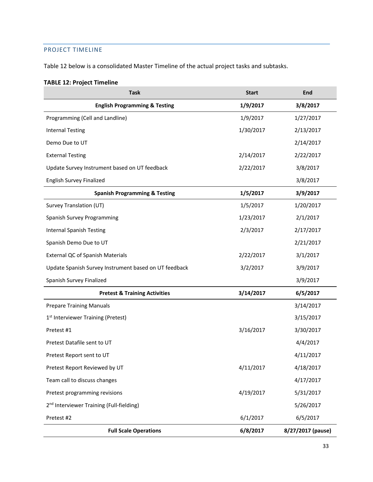# <span id="page-32-0"></span>PROJECT TIMELINE

Table 12 below is a consolidated Master Timeline of the actual project tasks and subtasks.

# **TABLE 12: Project Timeline**

| <b>Task</b>                                           | <b>Start</b> | <b>End</b>        |
|-------------------------------------------------------|--------------|-------------------|
| <b>English Programming &amp; Testing</b>              | 1/9/2017     | 3/8/2017          |
| Programming (Cell and Landline)                       | 1/9/2017     | 1/27/2017         |
| <b>Internal Testing</b>                               | 1/30/2017    | 2/13/2017         |
| Demo Due to UT                                        |              | 2/14/2017         |
| <b>External Testing</b>                               | 2/14/2017    | 2/22/2017         |
| Update Survey Instrument based on UT feedback         | 2/22/2017    | 3/8/2017          |
| <b>English Survey Finalized</b>                       |              | 3/8/2017          |
| <b>Spanish Programming &amp; Testing</b>              | 1/5/2017     | 3/9/2017          |
| Survey Translation (UT)                               | 1/5/2017     | 1/20/2017         |
| Spanish Survey Programming                            | 1/23/2017    | 2/1/2017          |
| <b>Internal Spanish Testing</b>                       | 2/3/2017     | 2/17/2017         |
| Spanish Demo Due to UT                                |              | 2/21/2017         |
| External QC of Spanish Materials                      | 2/22/2017    | 3/1/2017          |
| Update Spanish Survey Instrument based on UT feedback | 3/2/2017     | 3/9/2017          |
| Spanish Survey Finalized                              |              | 3/9/2017          |
| <b>Pretest &amp; Training Activities</b>              | 3/14/2017    | 6/5/2017          |
| <b>Prepare Training Manuals</b>                       |              | 3/14/2017         |
| 1 <sup>st</sup> Interviewer Training (Pretest)        |              | 3/15/2017         |
| Pretest #1                                            | 3/16/2017    | 3/30/2017         |
| Pretest Datafile sent to UT                           |              | 4/4/2017          |
| Pretest Report sent to UT                             |              | 4/11/2017         |
| Pretest Report Reviewed by UT                         | 4/11/2017    | 4/18/2017         |
| Team call to discuss changes                          |              | 4/17/2017         |
| Pretest programming revisions                         | 4/19/2017    | 5/31/2017         |
| 2 <sup>nd</sup> Interviewer Training (Full-fielding)  |              | 5/26/2017         |
| Pretest #2                                            | 6/1/2017     | 6/5/2017          |
| <b>Full Scale Operations</b>                          | 6/8/2017     | 8/27/2017 (pause) |